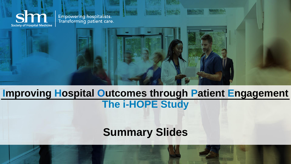**Society of Hospital Medicine** 

Empowering hospitalists.<br>Transforming patient care.

### **Improving Hospital Outcomes through Patient Engagement The i-HOPE Study**

### **Summary Slides**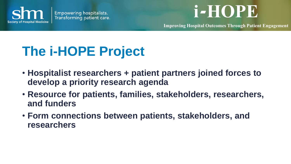



**Improving Hospital Outcomes Through Patient Engagement**

## **The i-HOPE Project**

- **Hospitalist researchers + patient partners joined forces to develop a priority research agenda**
- **Resource for patients, families, stakeholders, researchers, and funders**
- **Form connections between patients, stakeholders, and researchers**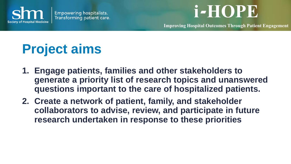

**Improving Hospital Outcomes Through Patient Engagement**

## **Project aims**

- **1. Engage patients, families and other stakeholders to generate a priority list of research topics and unanswered questions important to the care of hospitalized patients.**
- **2. Create a network of patient, family, and stakeholder collaborators to advise, review, and participate in future research undertaken in response to these priorities**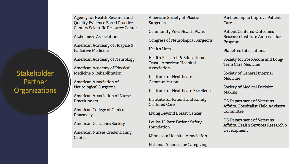Agency for Health Research and **Ouality Evidence Based Practice** Centers Scientific Resource Center

Alzheimer's Association

American Academy of Hospice & Palliative Medicine

**American Academy of Neurology** 

American Academy of Physical Medicine & Rehabilitation

American Association of **Neurological Surgeons** 

**American Association of Nurse** Practitioners

**American College of Clinical** Pharmacy

**American Geriatrics Society** 

**American Nurses Credentialing** Center

**American Society of Plastic** Surgeons

**Community First Health Plans** 

**Congress of Neurological Surgeons** 

**Health Hats** 

Health Research & Educational **Trust - American Hospital** Association

Institute for Healthcare Communication

Institute for Healthcare Excellence

Institute for Patient and Family **Centered Care** 

Living Beyond Breast Cancer

Louise H. Batz Patient Safety Foundation

Minnesota Hospital Association

National Alliance for Caregiving

Partnership to Improve Patient Care

**Patient Centered Outcomes** Research Institute Ambassador Program

Planetree International

Society for Post-Acute and Long-**Term Care Medicine** 

Society of General Internal Medicine

**Society of Medical Decision** Making

US Department of Veterans Affairs, Hospitalist Field Advisory Committee

US Department of Veterans Affairs, Health Services Research & Development

**Stakeholder** Partner **Organizations**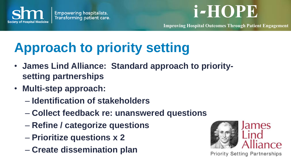

**Improving Hospital Outcomes Through Patient Engagement**

## **Approach to priority setting**

- **James Lind Alliance: Standard approach to prioritysetting partnerships**
- **Multi-step approach:**
	- **Identification of stakeholders**
	- **Collect feedback re: unanswered questions**
	- **Refine / categorize questions**
	- **Prioritize questions x 2**
	- **Create dissemination plan**



**Priority Setting Partnerships**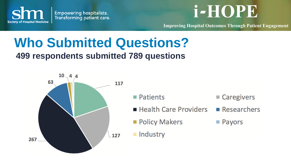

**Improving Hospital Outcomes Through Patient Engagement**

## **Who Submitted Questions?**

#### **499 respondents submitted 789 questions**



■ Patients

- Health Care Providers
- **Policy Makers**
- $\blacksquare$  Industry
- Caregivers
- $R$ esearchers
- Payors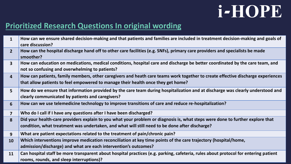#### **Prioritized Research Questions In original wording**

| $\mathbf{1}$            | How can we ensure shared decision-making and that patients and families are included in treatment decision-making and goals of                                                                                      |
|-------------------------|---------------------------------------------------------------------------------------------------------------------------------------------------------------------------------------------------------------------|
|                         | care discussion?                                                                                                                                                                                                    |
| 2 <sup>2</sup>          | How can the hospital discharge hand off to other care facilities (e.g. SNFs), primary care providers and specialists be made<br>smoother?                                                                           |
| $\overline{\mathbf{3}}$ | How can education on medications, medical conditions, hospital care and discharge be better coordinated by the care team, and<br>not so confusing and overwhelming to patients?                                     |
| $\overline{4}$          | How can patients, family members, other caregivers and heath care teams work together to create effective discharge experiences<br>that allow patients to feel empowered to manage their health once they get home? |
| 5 <sup>5</sup>          | How do we ensure that information provided by the care team during hospitalization and at discharge was clearly understood and<br>clearly communicated by patients and caregivers?                                  |
| $6 \overline{6}$        | How can we use telemedicine technology to improve transitions of care and reduce re-hospitalization?                                                                                                                |
| $\overline{\mathbf{z}}$ | Who do I call if I have any questions after I have been discharged?                                                                                                                                                 |
| $\mathbf{8}$            | Did your health-care providers explain to you what your problem or diagnosis is, what steps were done to further explore that                                                                                       |
|                         | condition, what treatment was undertaken, and what will still need to be done after discharge?                                                                                                                      |
| 9                       | What are patient expectations related to the treatment of pain/chronic pain?                                                                                                                                        |
| <b>10</b>               | Which interventions improve medication reconciliation at key time points of the care trajectory (hospital/home,                                                                                                     |
|                         | admission/discharge) and what are each intervention's outcomes?                                                                                                                                                     |
| 11                      | Can hospital staff be more transparent about hospital practices (e.g. parking, cafeteria, rules about protocol for entering patient<br>rooms, rounds, and sleep interruptions)?                                     |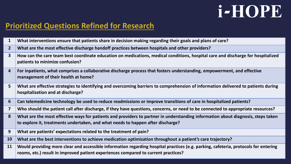#### **Prioritized Questions Refined for Research**

- **What interventions ensure that patients share in decision making regarding their goals and plans of care?**
- **What are the most effective discharge handoff practices between hospitals and other providers?**
- **How can the care team best coordinate education on medications, medical conditions, hospital care and discharge for hospitalized patients to minimize confusion?**
- **For inpatients, what comprises a collaborative discharge process that fosters understanding, empowerment, and effective management of their health at home?**
- **What are effective strategies to identifying and overcoming barriers to comprehension of information delivered to patients during hospitalization and at discharge?**
- **Can telemedicine technology be used to reduce readmissions or improve transitions of care in hospitalized patients?**
- **Who should the patient call after discharge, if they have questions, concerns, or need to be connected to appropriate resources?**
- **What are the most effective ways for patients and providers to partner in understanding information about diagnosis, steps taken to explore it, treatments undertaken, and what needs to happen after discharge?**
- **What are patients' expectations related to the treatment of pain?**
- **What are the best interventions to achieve medication optimization throughout a patient's care trajectory?**

 **Would providing more clear and accessible information regarding hospital practices (e.g. parking, cafeteria, protocols for entering rooms, etc.) result in improved patient experiences compared to current practices?**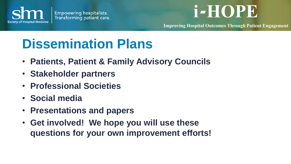

**Improving Hospital Outcomes Through Patient Engagement**

## **Dissemination Plans**

- **Patients, Patient & Family Advisory Councils**
- **Stakeholder partners**
- **Professional Societies**
- **Social media**
- **Presentations and papers**
- **Get involved! We hope you will use these questions for your own improvement efforts!**